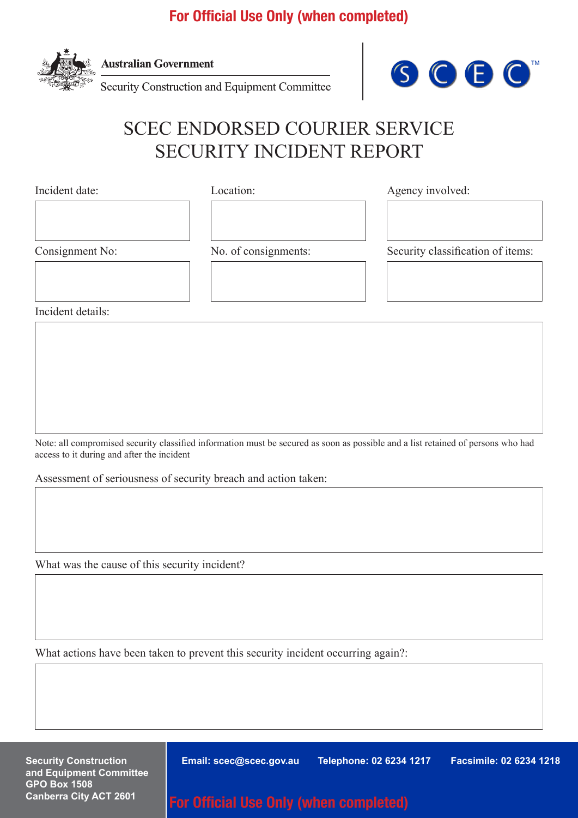## For Official Use Only (when completed)



**Australian Government** 

Security Construction and Equipment Committee



## SCEC ENDORSED COURIER SERVICE SECURITY INCIDENT REPORT

Incident date:

Location:

Agency involved:

Consignment No:

No. of consignments:

Security classification of items:

ENDORSE SAFE HAND COURIER SAFE HAND COURT AND SAFEKEEPING COURT AND A SAFE HAND COURT AND SAFE HAND COURT AND <br>Endorse the court of the court of the court of the court of the court of the court of the court of the court of

DESTRUCTION SERVICE

SECURITY CONSTRUCTION EQUIPMENT COMMITTEE ASSESSMENT

Incident details:

Note: all compromised security classified information must be secured as soon as possible and a list retained of persons who had access to it during and after the incident

Assessment of seriousness of security breach and action taken:

What was the cause of this security incident?

What actions have been taken to prevent this security incident occurring again?:

**Security Construction and Equipment Committee GPO Box 1508 Canberra City ACT 2601**

**Email: scec@scec.gov.au Telephone: 02 6234 1217 Facsimile: 02 6234 1218**

For Official Use Only (when completed)